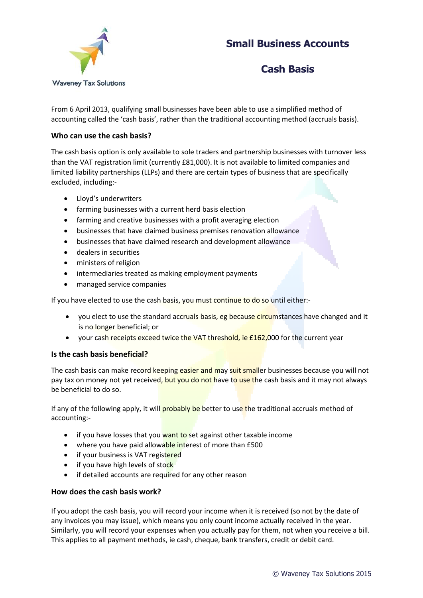# **Small Business Accounts**



### **Cash Basis**

From 6 April 2013, qualifying small businesses have been able to use a simplified method of accounting called the 'cash basis', rather than the traditional accounting method (accruals basis).

### **Who can use the cash basis?**

The cash basis option is only available to sole traders and partnership businesses with turnover less than the VAT registration limit (currently £81,000). It is not available to limited companies and limited liability partnerships (LLPs) and there are certain types of business that are specifically excluded, including:-

- Lloyd's underwriters
- farming businesses with a current herd basis election
- farming and creative businesses with a profit averaging election
- businesses that have claimed business premises renovation allowance
- businesses that have claimed research and development allowance
- dealers in securities
- ministers of religion
- intermediaries treated as making employment payments
- managed service companies

If you have elected to use the cash basis, you must continue to do so until either:-

- you elect to use the standard accruals basis, eg because circumstances have changed and it is no longer beneficial; or
- your cash receipts exceed twice the VAT threshold, ie £162,000 for the current year

#### **Is the cash basis beneficial?**

The cash basis can make record keeping easier and may suit smaller businesses because you will not pay tax on money not yet received, but you do not have to use the cash basis and it may not always be beneficial to do so.

If any of the following apply, it will **probably be** better to use the traditional accruals method of accounting:-

- if you have losses that you want to set against other taxable income
- where you have paid allowable interest of more than £500
- if your business is VAT registered
- if you have high levels of stock
- if detailed accounts are required for any other reason

#### **How does the cash basis work?**

If you adopt the cash basis, you will record your income when it is received (so not by the date of any invoices you may issue), which means you only count income actually received in the year. Similarly, you will record your expenses when you actually pay for them, not when you receive a bill. This applies to all payment methods, ie cash, cheque, bank transfers, credit or debit card.